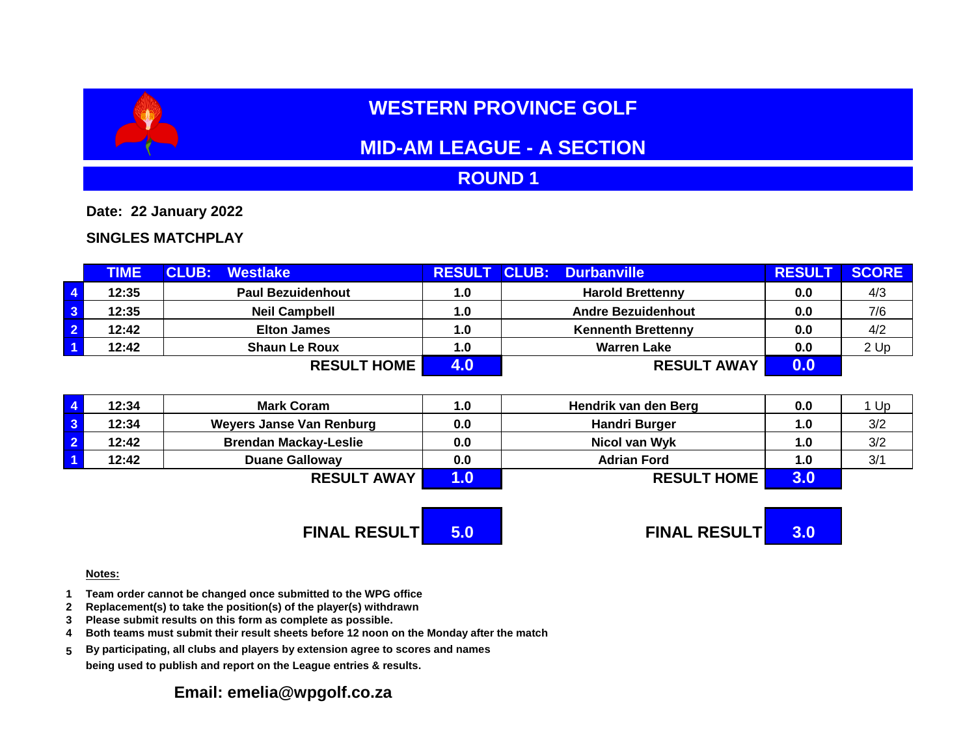# **WESTERN PROVINCE GOLF**

## **MID-AM LEAGUE - A SECTION**

### **ROUND 1**

**Date: 22 January 2022**

### **SINGLES MATCHPLAY**

|                         | <b>TIME</b> | <b>CLUB:</b><br>Westlake | <b>RESULT</b> | <b>CLUB:</b><br><b>Durbanville</b> | <b>RESUL</b> | <b>SCORE</b> |
|-------------------------|-------------|--------------------------|---------------|------------------------------------|--------------|--------------|
| $\overline{4}$          | 12:35       | <b>Paul Bezuidenhout</b> | 1.0           | <b>Harold Brettenny</b>            | 0.0          | 4/3          |
| $\overline{\mathbf{3}}$ | 12:35       | <b>Neil Campbell</b>     | 1.0           | <b>Andre Bezuidenhout</b>          | 0.0          | 7/6          |
| $\overline{2}$          | 12:42       | <b>Elton James</b>       | 1.0           | <b>Kennenth Brettenny</b>          | 0.0          | 4/2          |
| $\overline{1}$          | 12:42       | <b>Shaun Le Roux</b>     | 1.0           | <b>Warren Lake</b>                 | 0.0          | 2 Up         |
|                         |             | <b>RESULT HOME</b>       |               | <b>RESULT AWAY</b>                 | 0.0          |              |

| 12:34 | <b>Mark Coram</b>               | 1.0 | Hendrik van den Berg | 0.0              | Up  |
|-------|---------------------------------|-----|----------------------|------------------|-----|
| 12:34 | <b>Weyers Janse Van Renburg</b> | 0.0 | <b>Handri Burger</b> | 1.0 <sub>1</sub> | 3/2 |
| 12:42 | <b>Brendan Mackay-Leslie</b>    | 0.0 | Nicol van Wyk        | 1.0              | 3/2 |
| 12:42 | <b>Duane Galloway</b>           | 0.0 | <b>Adrian Ford</b>   | 1.0              | 3/1 |
|       | <b>RESULT AWAY</b>              |     | <b>RESULT HOME</b>   | 3.0              |     |

**FINAL RESULT 5.0 FINAL RESULT 3.0**

#### **Notes:**

- **1 Team order cannot be changed once submitted to the WPG office**
- **2 Replacement(s) to take the position(s) of the player(s) withdrawn**
- **3 Please submit results on this form as complete as possible.**
- **4 Both teams must submit their result sheets before 12 noon on the Monday after the match**
- **5 By participating, all clubs and players by extension agree to scores and names being used to publish and report on the League entries & results.**

### **Email: emelia@wpgolf.co.za**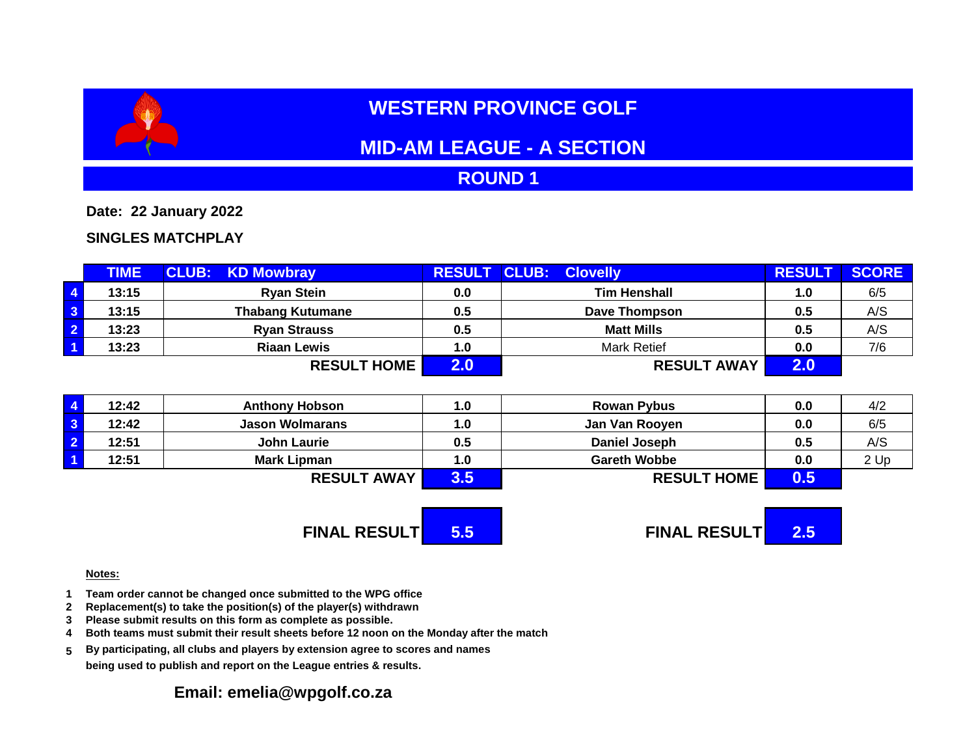# **WESTERN PROVINCE GOLF**

## **MID-AM LEAGUE - A SECTION**

### **ROUND 1**

**Date: 22 January 2022**

#### **SINGLES MATCHPLAY**

|                         | <b>TIME</b> | <b>CLUB: KD Mowbray</b> | <b>RESULT CLUB:</b> | <b>Clovelly</b>      | <b>RESULT</b> | <b>SCORE</b> |
|-------------------------|-------------|-------------------------|---------------------|----------------------|---------------|--------------|
| $\overline{4}$          | 13:15       | <b>Ryan Stein</b>       | 0.0                 | <b>Tim Henshall</b>  | 1.0           | 6/5          |
| $\overline{\mathbf{3}}$ | 13:15       | <b>Thabang Kutumane</b> | 0.5                 | <b>Dave Thompson</b> | 0.5           | A/S          |
| $\overline{2}$          | 13:23       | <b>Ryan Strauss</b>     | 0.5                 | <b>Matt Mills</b>    | 0.5           | A/S          |
| $\overline{1}$          | 13:23       | <b>Riaan Lewis</b>      | 1.0                 | <b>Mark Retief</b>   | 0.0           | 7/6          |
|                         |             | <b>RESULT HOME</b>      |                     | <b>RESULT AWAY</b>   | 2.0           |              |

| 12:42 | <b>Anthony Hobson</b>  | 1.0 | <b>Rowan Pybus</b>   | 0.0 | 4/2  |
|-------|------------------------|-----|----------------------|-----|------|
| 12:42 | <b>Jason Wolmarans</b> | 1.0 | Jan Van Rooyen       | 0.0 | 6/5  |
| 12:51 | <b>John Laurie</b>     | 0.5 | <b>Daniel Joseph</b> | 0.5 | A/S  |
| 12:51 | <b>Mark Lipman</b>     | 1.0 | <b>Gareth Wobbe</b>  | 0.0 | 2 Up |
|       | <b>RESULT AWAY</b>     |     | <b>RESULT HOME</b>   | 0.5 |      |

# **FINAL RESULT 5.5 FINAL RESULT 2.5**

#### **Notes:**

- **1 Team order cannot be changed once submitted to the WPG office**
- **2 Replacement(s) to take the position(s) of the player(s) withdrawn**
- **3 Please submit results on this form as complete as possible.**
- **4 Both teams must submit their result sheets before 12 noon on the Monday after the match**
- **5 By participating, all clubs and players by extension agree to scores and names being used to publish and report on the League entries & results.**

### **Email: emelia@wpgolf.co.za**